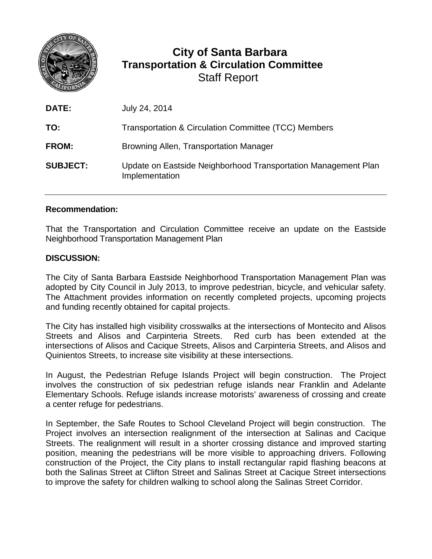

## **City of Santa Barbara Transportation & Circulation Committee** Staff Report

| <b>DATE:</b>    | July 24, 2014                                                                    |
|-----------------|----------------------------------------------------------------------------------|
| TO:             | Transportation & Circulation Committee (TCC) Members                             |
| <b>FROM:</b>    | Browning Allen, Transportation Manager                                           |
| <b>SUBJECT:</b> | Update on Eastside Neighborhood Transportation Management Plan<br>Implementation |

## **Recommendation:**

That the Transportation and Circulation Committee receive an update on the Eastside Neighborhood Transportation Management Plan

## **DISCUSSION:**

The City of Santa Barbara Eastside Neighborhood Transportation Management Plan was adopted by City Council in July 2013, to improve pedestrian, bicycle, and vehicular safety. The Attachment provides information on recently completed projects, upcoming projects and funding recently obtained for capital projects.

The City has installed high visibility crosswalks at the intersections of Montecito and Alisos Streets and Alisos and Carpinteria Streets. Red curb has been extended at the intersections of Alisos and Cacique Streets, Alisos and Carpinteria Streets, and Alisos and Quinientos Streets, to increase site visibility at these intersections.

In August, the Pedestrian Refuge Islands Project will begin construction. The Project involves the construction of six pedestrian refuge islands near Franklin and Adelante Elementary Schools. Refuge islands increase motorists' awareness of crossing and create a center refuge for pedestrians.

In September, the Safe Routes to School Cleveland Project will begin construction. The Project involves an intersection realignment of the intersection at Salinas and Cacique Streets. The realignment will result in a shorter crossing distance and improved starting position, meaning the pedestrians will be more visible to approaching drivers. Following construction of the Project, the City plans to install rectangular rapid flashing beacons at both the Salinas Street at Clifton Street and Salinas Street at Cacique Street intersections to improve the safety for children walking to school along the Salinas Street Corridor.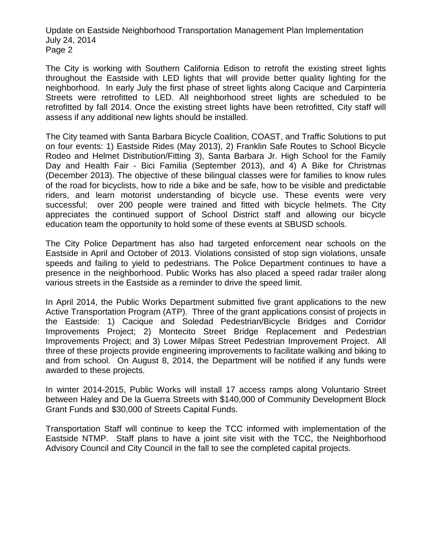Update on Eastside Neighborhood Transportation Management Plan Implementation July 24, 2014 Page 2

The City is working with Southern California Edison to retrofit the existing street lights throughout the Eastside with LED lights that will provide better quality lighting for the neighborhood. In early July the first phase of street lights along Cacique and Carpinteria Streets were retrofitted to LED. All neighborhood street lights are scheduled to be retrofitted by fall 2014. Once the existing street lights have been retrofitted, City staff will assess if any additional new lights should be installed.

The City teamed with Santa Barbara Bicycle Coalition, COAST, and Traffic Solutions to put on four events: 1) Eastside Rides (May 2013), 2) Franklin Safe Routes to School Bicycle Rodeo and Helmet Distribution/Fitting 3), Santa Barbara Jr. High School for the Family Day and Health Fair - Bici Familia (September 2013), and 4) A Bike for Christmas (December 2013). The objective of these bilingual classes were for families to know rules of the road for bicyclists, how to ride a bike and be safe, how to be visible and predictable riders, and learn motorist understanding of bicycle use. These events were very successful; over 200 people were trained and fitted with bicycle helmets. The City appreciates the continued support of School District staff and allowing our bicycle education team the opportunity to hold some of these events at SBUSD schools.

The City Police Department has also had targeted enforcement near schools on the Eastside in April and October of 2013. Violations consisted of stop sign violations, unsafe speeds and failing to yield to pedestrians. The Police Department continues to have a presence in the neighborhood. Public Works has also placed a speed radar trailer along various streets in the Eastside as a reminder to drive the speed limit.

In April 2014, the Public Works Department submitted five grant applications to the new Active Transportation Program (ATP). Three of the grant applications consist of projects in the Eastside: 1) Cacique and Soledad Pedestrian/Bicycle Bridges and Corridor Improvements Project; 2) Montecito Street Bridge Replacement and Pedestrian Improvements Project; and 3) Lower Milpas Street Pedestrian Improvement Project. All three of these projects provide engineering improvements to facilitate walking and biking to and from school. On August 8, 2014, the Department will be notified if any funds were awarded to these projects.

In winter 2014-2015, Public Works will install 17 access ramps along Voluntario Street between Haley and De la Guerra Streets with \$140,000 of Community Development Block Grant Funds and \$30,000 of Streets Capital Funds.

Transportation Staff will continue to keep the TCC informed with implementation of the Eastside NTMP. Staff plans to have a joint site visit with the TCC, the Neighborhood Advisory Council and City Council in the fall to see the completed capital projects.